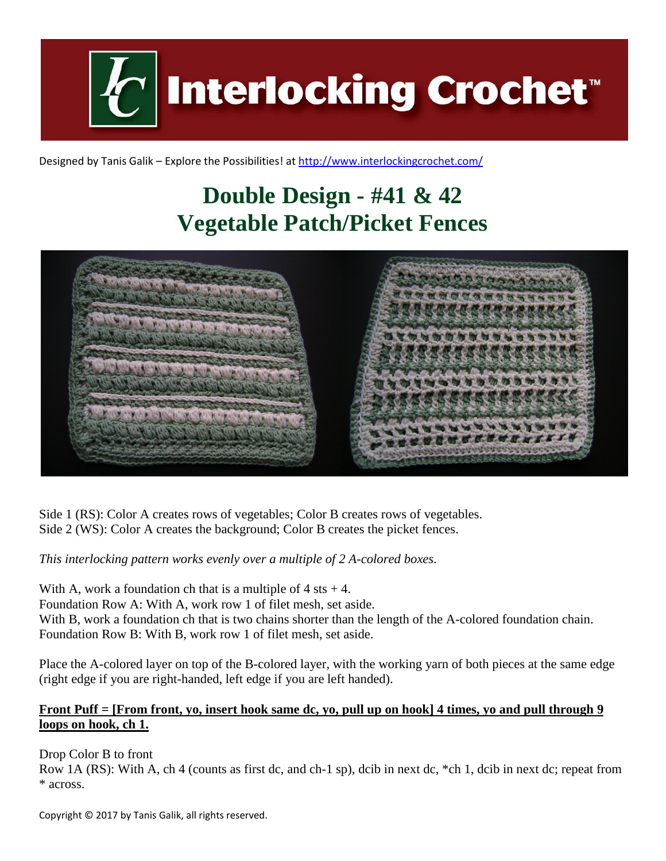

Designed by Tanis Galik – Explore the Possibilities! a[t http://www.interlockingcrochet.com/](http://www.interlockingcrochet.com/)

## **Double Design - #41 & 42 Vegetable Patch/Picket Fences**



Side 1 (RS): Color A creates rows of vegetables; Color B creates rows of vegetables. Side 2 (WS): Color A creates the background; Color B creates the picket fences.

*This interlocking pattern works evenly over a multiple of 2 A-colored boxes.*

With A, work a foundation ch that is a multiple of  $4$  sts  $+4$ . Foundation Row A: With A, work row 1 of filet mesh, set aside. With B, work a foundation ch that is two chains shorter than the length of the A-colored foundation chain. Foundation Row B: With B, work row 1 of filet mesh, set aside.

Place the A-colored layer on top of the B-colored layer, with the working yarn of both pieces at the same edge (right edge if you are right-handed, left edge if you are left handed).

## **Front Puff = [From front, yo, insert hook same dc, yo, pull up on hook] 4 times, yo and pull through 9 loops on hook, ch 1.**

Drop Color B to front

Row 1A (RS): With A, ch 4 (counts as first dc, and ch-1 sp), dcib in next dc, \*ch 1, dcib in next dc; repeat from \* across.

Copyright © 2017 by Tanis Galik, all rights reserved.